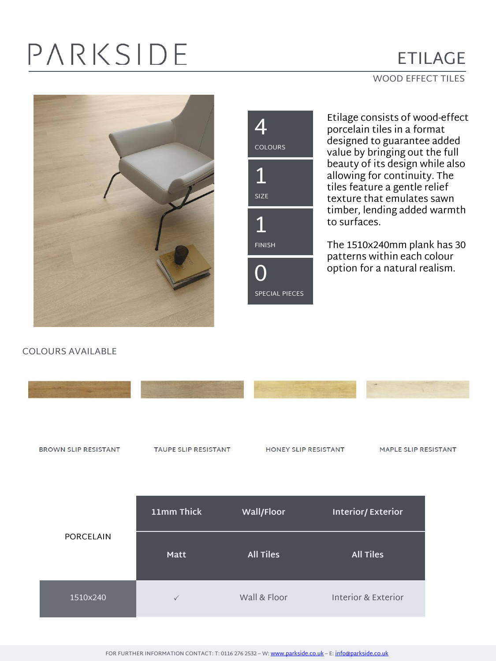# PARKSIDE

## ETILAGE

#### WOOD EFFECT TILES





Etilage consists of wood-effect porcelain tiles in a format designed to guarantee added value by bringing out the full beauty of its design while also allowing for continuity. The tiles feature a gentle relief texture that emulates sawn timber, lending added warmth to surfaces.

The 1510x240mm plank has 30 patterns within each colour option for a natural realism.

#### COLOURS AVAILABLE